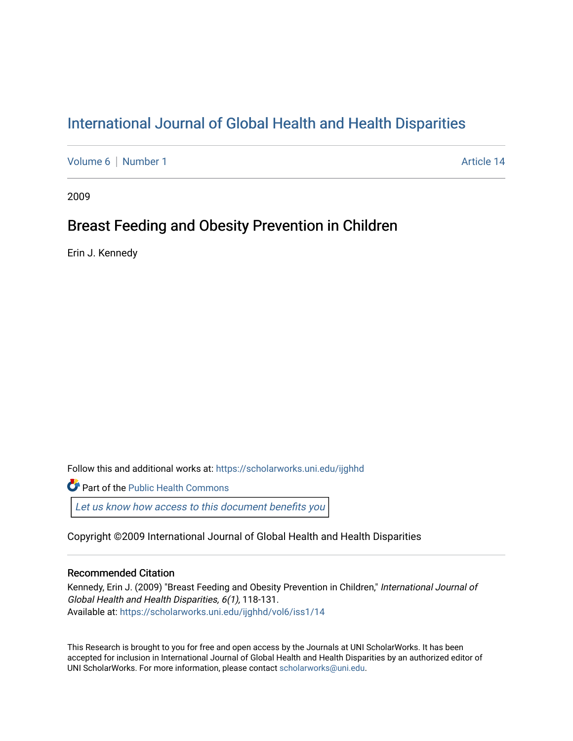# [International Journal of Global Health and Health Disparities](https://scholarworks.uni.edu/ijghhd)

[Volume 6](https://scholarworks.uni.edu/ijghhd/vol6) | [Number 1](https://scholarworks.uni.edu/ijghhd/vol6/iss1) Article 14

2009

# Breast Feeding and Obesity Prevention in Children

Erin J. Kennedy

Follow this and additional works at: [https://scholarworks.uni.edu/ijghhd](https://scholarworks.uni.edu/ijghhd?utm_source=scholarworks.uni.edu%2Fijghhd%2Fvol6%2Fiss1%2F14&utm_medium=PDF&utm_campaign=PDFCoverPages)

**Part of the Public Health Commons** 

Let us know how access to this document benefits you

Copyright ©2009 International Journal of Global Health and Health Disparities

## Recommended Citation

Kennedy, Erin J. (2009) "Breast Feeding and Obesity Prevention in Children," International Journal of Global Health and Health Disparities, 6(1), 118-131. Available at: [https://scholarworks.uni.edu/ijghhd/vol6/iss1/14](https://scholarworks.uni.edu/ijghhd/vol6/iss1/14?utm_source=scholarworks.uni.edu%2Fijghhd%2Fvol6%2Fiss1%2F14&utm_medium=PDF&utm_campaign=PDFCoverPages)

This Research is brought to you for free and open access by the Journals at UNI ScholarWorks. It has been accepted for inclusion in International Journal of Global Health and Health Disparities by an authorized editor of UNI ScholarWorks. For more information, please contact [scholarworks@uni.edu.](mailto:scholarworks@uni.edu)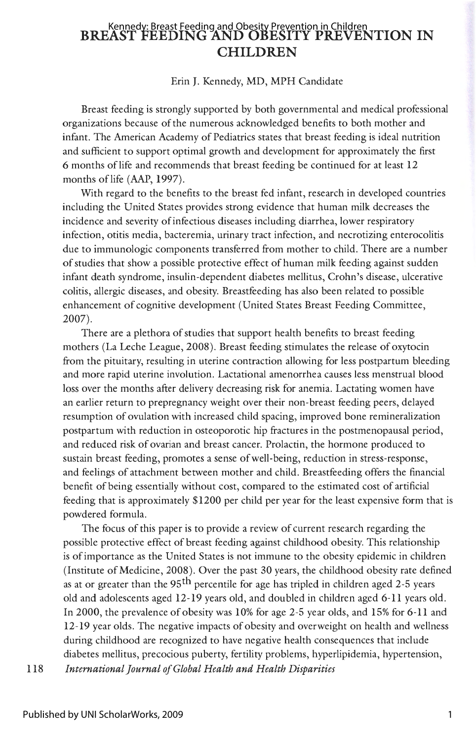# **BREAST FEEDING AND OBESITY PREVENTION IN**  Kennedy: Breast Feeding and Obesity Prevention in Children **CHILDREN**

### Erin J. Kennedy, MD, MPH Candidate

Breast feeding is strongly supported by both governmental and medical professional organizations because of the numerous acknowledged benefits to both mother and infant. The American Academy of Pediatrics states that breast feeding is ideal nutrition and sufficient to support optimal growth and development for approximately the first 6 months oflife and recommends that breast feeding be continued for at least **12**  months of life (AAP, 1997).

With regard to the benefits to the breast fed infant, research in developed countries including the United States provides strong evidence that human milk decreases the incidence and severity of infectious diseases including diarrhea, lower respiratory infection, otitis media, bacteremia, urinary tract infection, and necrotizing enterocolitis due to immunologic components transferred from mother to child. There are a number of studies that show a possible protective effect of human milk feeding against sudden infant death syndrome, insulin-dependent diabetes mellitus, Crohn's disease, ulcerative colitis, allergic diseases, and obesity. Breastfeeding has also been related to possible enhancement of cognitive development (United States Breast Feeding Committee, 2007).

There are a plethora of studies that support health benefits to breast feeding mothers (La Leche League, 2008). Breast feeding stimulates the release of oxytocin from the pituitary, resulting in uterine contraction allowing for less postpartum bleeding and more rapid uterine involution. Lactational amenorrhea causes less menstrual blood loss over the months after delivery decreasing risk for anemia. Lactating women have an earlier return to prepregnancy weight over their non-breast feeding peers, delayed resumption of ovulation with increased child spacing, improved bone remineralization postpartum with reduction in osteoporotic hip fractures in the postmenopausal period, and reduced risk of ovarian and breast cancer. Prolactin, the hormone produced to sustain breast feeding, promotes a sense of well-being, reduction in stress-response, and feelings of attachment between mother and child. Breastfeeding offers the financial benefit of being essentially without cost, compared to the estimated cost of artificial feeding that is approximately \$1200 per child per year for the least expensive form that is powdered formula.

The focus of this paper is to provide a review of current research regarding the possible protective effect of breast feeding against childhood obesity. This relationship is of importance as the United States is not immune to the obesity epidemic in children (Institute of Medicine, 2008). Over the past 30 years, the childhood obesity rate defined as at or greater than the 95<sup>th</sup> percentile for age has tripled in children aged 2-5 years old and adolescents aged 12-19 years old, and doubled in children aged 6-11 years old. In 2000, the prevalence of obesity was 10% for age 2-5 year olds, and 15% for 6-11 and 12-19 year olds. The negative impacts of obesity and overweight on health and wellness during childhood are recognized to have negative health consequences that include diabetes mellitus, precocious puberty, fertility problems, hyperlipidemia, hypertension,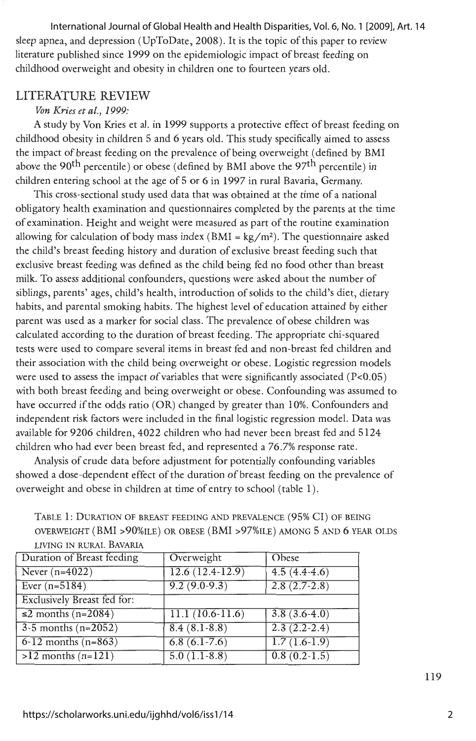sleep apnea, and depression (UpToDate, 2008). It is the topic of this paper to review literature published since 1999 on the epidemiologic impact of breast feeding on childhood overweight and obesity in children one to fourteen years old. International Journal of Global Health and Health Disparities, Vol. 6, No. 1 [2009], Art. 14

### LITERATURE REVIEW

#### *Von Kries et al., 1999:*

A study by Von Kries et al. in 1999 supports a protective effect of breast feeding on childhood obesity in children 5 and 6 years old. This study specifically aimed to assess the impact of breast feeding on the prevalence of being overweight ( defined by BMI above the 90<sup>th</sup> percentile) or obese (defined by BMI above the  $97<sup>th</sup>$  percentile) in children entering school at the age of 5 or 6 in 1997 in rural Bavaria, Germany.

This cross-sectional study used data that was obtained at the time of a national obligatory health examination and questionnaires completed by the parents at the time of examination. Height and weight were measured as part of the routine examination allowing for calculation of body mass index ( $BMI = kg/m<sup>2</sup>$ ). The questionnaire asked the child's breast feeding history and duration of exclusive breast feeding such that exclusive breast feeding was defined as the child being fed no food other than breast milk. To assess additional confounders, questions were asked about the number of siblings, parents' ages, child's health, introduction of solids to the child's diet, dietary habits, and parental smoking habits. The highest level of education attained by either parent was used as a marker for social class. The prevalence of obese children was calculated according to the duration of breast feeding. The appropriate chi-squared tests were used to compare several items in breast fed and non-breast fed children and their association with the child being overweight or obese . Logistic regression models were used to assess the impact of variables that were significantly associated (P<0.05) with both breast feeding and being overweight or obese. Confounding was assumed to have occurred if the odds ratio (OR) changed by greater than 10%. Confounders and independent risk factors were included in the final logistic regression model. Data was available for 9206 children, 4022 children who had never been breast fed and 5124 children who had ever been breast fed, and represented a 76.7% response rate.

Analysis of crude data before adjustment for potentially confounding variables showed a dose-dependent effect of the duration of breast feeding on the prevalence of overweight and obese in children at time of entry to school ( table 1 ).

TABLE 1: DURATION OF BREAST FEEDING AND PREVALENCE (95% Cl) OF BEING OVERWEIGHT (BMI >90%ILE) OR OBESE (BMI >97%ILE) AMONG 5 AND 6 YEAR OLDS LIVING IN RURAL BAVARIA

| Duration of Breast feeding         | Overweight        | Obese          |
|------------------------------------|-------------------|----------------|
| Never $(n=4022)$                   | $12.6(12.4-12.9)$ | $4.5(4.4-4.6)$ |
| Ever $(n=5184)$                    | $9.2(9.0-9.3)$    | $2.8(2.7-2.8)$ |
| <b>Exclusively Breast fed for:</b> |                   |                |
| $\leq$ 2 months (n=2084)           | $11.1(10.6-11.6)$ | $3.8(3.6-4.0)$ |
| $3-5$ months (n=2052)              | $8.4(8.1-8.8)$    | $2.3(2.2-2.4)$ |
| $6-12$ months (n=863)              | $6.8(6.1-7.6)$    | $1.7(1.6-1.9)$ |
| >12 months $(n=121)$               | $5.0(1.1-8.8)$    | $0.8(0.2-1.5)$ |

119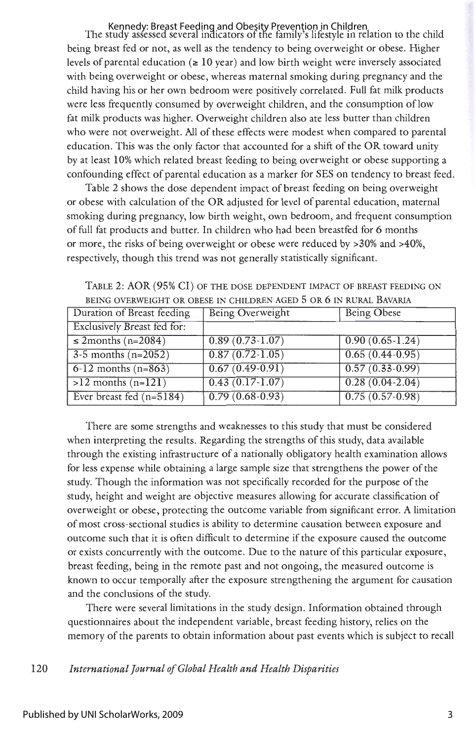The study assessed several indicators of the family's lifestyle in relation to the child Kennedy: Breast Feeding and Obesity Prevention in Children being breast fed or not, as well as the tendency to being overweight or obese . Higher levels of parental education ( $\geq 10$  year) and low birth weight were inversely associated with being overweight or obese, whereas maternal smoking during pregnancy and the child having his or her own bedroom were positively correlated. Full fat milk products were less frequently consumed by overweight children, and the consumption oflow fat milk products was higher. Overweight children also ate less butter than children who were not overweight. All of these effects were modest when compared to parental education. This was the only factor that accounted for a shift of the OR toward unity by at least 10% which related breast feeding to being overweight or obese supporting a confounding effect of parental education as a marker for SES on tendency to breast feed .

Table 2 shows the dose dependent impact of breast feeding on being overweight or obese with calculation of the OR adjusted for level of parental education, maternal smoking during pregnancy, low birth weight, own bedroom, and frequent consumption of full fat products and butter. In children who had been breastfed for 6 months or more, the risks of being overweight or obese were reduced by >30% and >40%, respectively, though this trend was not generally statistically significant.

| Duration of Breast feeding  | Being Overweight  | <b>Being Obese</b>  |  |  |
|-----------------------------|-------------------|---------------------|--|--|
| Exclusively Breast fed for: |                   |                     |  |  |
| $\leq$ 2months (n=2084)     | $0.89(0.73-1.07)$ | $0.90(0.65-1.24)$   |  |  |
| $3-5$ months (n=2052)       | $0.87(0.72-1.05)$ | $0.65(0.44-0.95)$   |  |  |
| $6-12$ months $(n=863)$     | $0.67(0.49-0.91)$ | $0.57(0.33 - 0.99)$ |  |  |
| $>12$ months $(n=121)$      | $0.43(0.17-1.07)$ | $0.28(0.04-2.04)$   |  |  |
| Ever breast fed (n=5184)    | $0.79(0.68-0.93)$ | $0.75(0.57-0.98)$   |  |  |

TABLE 2: AOR (95% Cl) OF THE DOSE DEPENDENT IMPACT OF BREAST FEEDING ON BEING OVERWEIGHT OR OBESE IN CHILDREN AGED 5 OR 6 IN RURAL BAVARIA

There are some strengths and weaknesses to this study that must be considered when interpreting the results. Regarding the strengths of this study, data available through the existing infrastructure of a nationally obligatory health examination allows for less expense while obtaining a large sample size that strengthens the power of the study. Though the information was not specifically recorded for the purpose of the study, height and weight are objective measures allowing for accurate classification of overweight or obese, protecting the outcome variable from significant error. A limitation of most cross-sectional studies is ability to determine causation between exposure and outcome such that it is often difficult to determine if the exposure caused the outcome or exists concurrently with the outcome. Due to the nature of this particular exposure, breast feeding, being in the remote past and not ongoing, the measured outcome is known to occur temporally after the exposure strengthening the argument for causation and the conclusions of the study.

There were several limitations in the study design. Information obtained through questionnaires about the independent variable, breast feeding history, relies on the memory of the parents to obtain information about past events which is subject to recall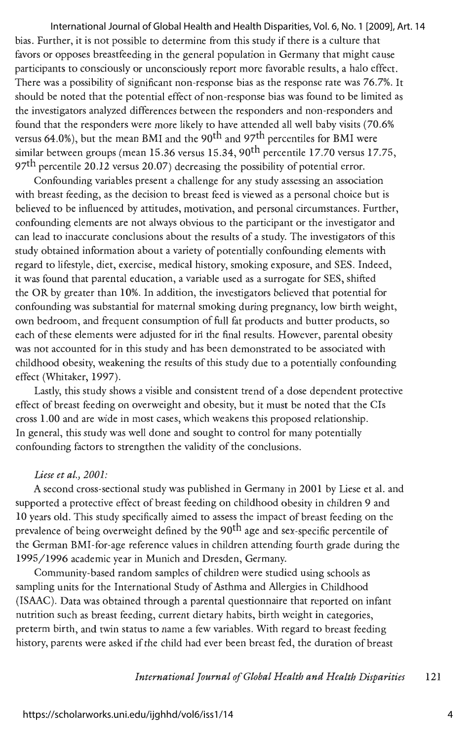bias. Further, it is not possible to determine from this study if there is a culture that favors or opposes breastfeeding in the general population in Germany that might cause participants to consciously or unconsciously report more favorable results, a halo effect. There was a possibility of significant non-response bias as the response rate was 76.7%. It should be noted that the potential effect of non-response bias was found to be limited as the investigators analyzed differences between the responders and non-responders and found that the responders were more likely to have attended all well baby visits (70.6% versus 64.0%), but the mean BMI and the 90<sup>th</sup> and 97<sup>th</sup> percentiles for BMI were similar between groups (mean 15.36 versus 15.34, 90<sup>th</sup> percentile 17.70 versus 17.75, 97<sup>th</sup> percentile 20.12 versus 20.07) decreasing the possibility of potential error. International Journal of Global Health and Health Disparities, Vol. 6, No. 1 [2009], Art. 14

Confounding variables present a challenge for any study assessing an association with breast feeding, as the decision to breast feed is viewed as a personal choice but is believed to be influenced by attitudes, motivation, and personal circumstances. Further, confounding elements are not always obvious to the participant or the investigator and can lead to inaccurate conclusions about the results of a study. The investigators of this study obtained information about a variety of potentially confounding elements with regard to lifestyle, diet, exercise, medical history, smoking exposure, and SES. Indeed, it was found that parental education, a variable used as a surrogate for SES, shifted the OR by greater than 10%. In addition, the investigators believed that potential for confounding was substantial for maternal smoking during pregnancy, low birth weight, own bedroom, and frequent consumption of full fat products and butter products, so each of these elements were adjusted for in the final results. However, parental obesity was not accounted for in this study and has been demonstrated to be associated with childhood obesity, weakening the results of this study due to a potentially confounding effect (Whitaker, 1997).

Lastly, this study shows a visible and consistent trend of a dose dependent protective effect of breast feeding on overweight and obesity, but it must be noted that the Cis cross 1.00 and are wide in most cases, which weakens this proposed relationship. In general, this study was well done and sought to control for many potentially confounding factors to strengthen the validity of the conclusions.

#### *Liese et al., 2001:*

A second cross-sectional study was published in Germany in 2001 by Liese et al. and supported a protective effect of breast feeding on childhood obesity in children 9 and 10 years old. This study specifically aimed to assess the impact of breast feeding on the prevalence of being overweight defined by the 90th age and sex-specific percentile of the German BMI-for-age reference values in children attending fourth grade during the 1995/ 1996 academic year in Munich and Dresden, Germany.

Community-based random samples of children were studied using schools as sampling units for the International Study of Asthma and Allergies in Childhood (ISAAC). Data was obtained through a parental questionnaire that reported on infant nutrition such as breast feeding, current dietary habits, birth weight in categories, preterm birth, and twin status to name a few variables. With regard to breast feeding history, parents were asked if the child had ever been breast fed, the duration of breast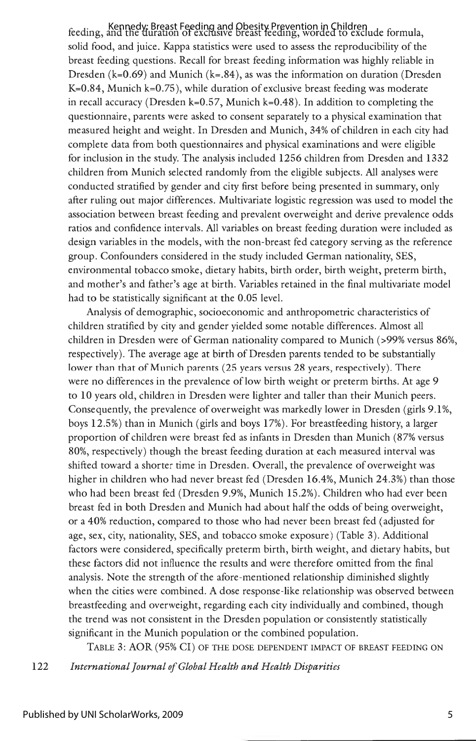feeding, and the duration of exclusive breast feeding, worded to exclude formula, Kennedy: Breast Feeding and Obesity Prevention in Children solid food, and juice. Kappa statistics were used to assess the reproducibility of the breast feeding questions. Recall for breast feeding information was highly reliable in Dresden ( $k=0.69$ ) and Munich ( $k=.84$ ), as was the information on duration (Dresden K=0.84, Munich k=0.75 ), while duration of exclusive breast feeding was moderate in recall accuracy (Dresden k=0.57, Munich k=0.48). In addition to completing the questionnaire, parents were asked to consent separately to a physical examination that measured height and weight. In Dresden and Munich, 34% of children in each city had complete data from both questionnaires and physical examinations and were eligible for inclusion in the study. The analysis included 1256 children from Dresden and 1332 children from Munich selected randomly from the eligible subjects. All analyses were conducted stratified by gender and city first before being presented in summary, only after ruling out major differences. Multivariate logistic regression was used to model the association between breast feeding and prevalent overweight and derive prevalence odds ratios and confidence intervals. All variables on breast feeding duration were included as design variables in the models, with the non-breast fed category serving as the reference group. Confounders considered in the study included German nationality, SES, environmental tobacco smoke, dietary habits, birth order, birth weight, preterm birth, and mother's and father's age at birth. Variables retained in the final multivariate model had to be statistically significant at the 0.05 level.

Analysis of demographic, socioeconomic and anthropometric characteristics of children stratified by city and gender yielded some notable differences. Almost all children in Dresden were of German nationality compared to Munich (>99% versus 86%, respectively). The average age at birth of Dresden parents tended to be substantially lower than that of Munich parents (25 years versus 28 years, respectively). There were no differences in the prevalence of low birth weight or preterm births. At age 9 to 10 years old, children in Dresden were lighter and taller than their Munich peers. Consequently, the prevalence of overweight was markedly lower in Dresden (girls 9 .1%, boys 12.5%) than in Munich (girls and boys 17%). For breastfeeding history, a larger proportion of children were breast fed as infants in Dresden than Munich (87% versus 80%, respectively) though the breast feeding duration at each measured interval was shifted toward a shorter time in Dresden. Overall, the prevalence of overweight was higher in children who had never breast fed (Dresden 16.4%, Munich 24.3%) than those who had been breast fed (Dresden 9.9%, Munich 15.2%). Children who had ever been breast fed in both Dresden and Munich had about half the odds of being overweight, or a 40% reduction, compared to those who had never been breast fed (adjusted for age, sex, city, nationality, SES, and tobacco smoke exposure ) (Table 3). Additional factors were considered, specifically preterm birth, birth weight, and dietary habits, but these factors did not influence the results and were therefore omitted from the final analysis. Note the strength of the afore-mentioned relationship diminished slightly when the cities were combined. A dose response-like relationship was observed between breastfeeding and overweight, regarding each city individually and combined, though the trend was not consistent in the Dresden population or consistently statistically significant in the Munich population or the combined population.

TABLE 3: AOR (95% CI) OF THE DOSE DEPENDENT IMPACT OF BREAST FEEDING ON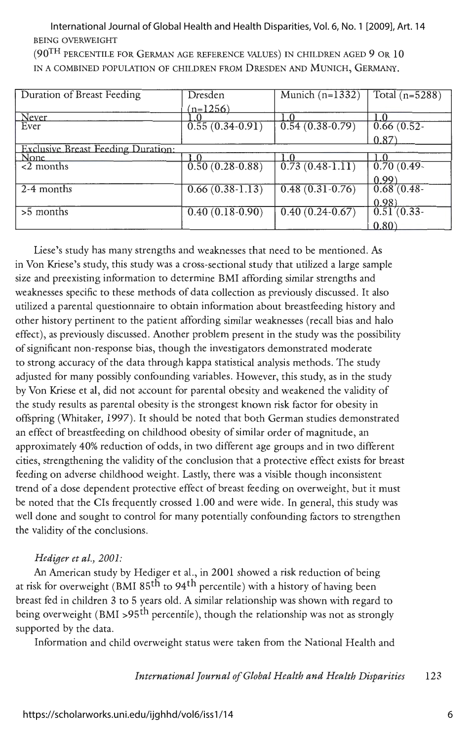BEING OVERWEIGHT International Journal of Global Health and Health Disparities, Vol. 6, No. 1 [2009], Art. 14

(90TH PERCENTILE FOR GERMAN AGE REFERENCE VALUES) IN CHILDREN AGED 9 OR 10 IN A COMBINED POPULATION OF CHILDREN FROM DRESDEN AND MUNICH, GERMANY.

| Duration of Breast Feeding                | Dresden           | Munich $(n=1332)$ | Total $(n=5288)$         |
|-------------------------------------------|-------------------|-------------------|--------------------------|
|                                           | $(n=1256)$        |                   |                          |
| Never                                     |                   |                   |                          |
| Ever                                      | $0.55(0.34-0.91)$ | $0.54(0.38-0.79)$ | $-\frac{1}{0.66}$ (0.52- |
|                                           |                   |                   | 0.87)                    |
| <b>Exclusive Breast Feeding Duration:</b> |                   |                   |                          |
| None                                      | 1 O               |                   |                          |
| $<$ 2 months                              | $0.50(0.28-0.88)$ | $0.73(0.48-1.11)$ | $0.70(0.49-$             |
|                                           |                   |                   | 0.99                     |
| 2-4 months                                | $0.66(0.38-1.13)$ | $0.48(0.31-0.76)$ | $0.68(0.48-$             |
|                                           |                   |                   | $0.98$ )                 |
| $>5$ months                               | $0.40(0.18-0.90)$ | $0.40(0.24-0.67)$ | $0.51(0.33 -$            |
|                                           |                   |                   | 0.80                     |

Liese's study has many strengths and weaknesses that need to be mentioned. As in Von Kriese's study, this study was a cross-sectional study that utilized a large sample size and preexisting information to determine BMI affording similar strengths and weaknesses specific to these methods of data collection as previously discussed. It also utilized a parental questionnaire to obtain information about breastfeeding history and other history pertinent to the patient affording similar weaknesses (recall bias and halo effect), as previously discussed. Another problem present in the study was the possibility of significant non-response bias, though the investigators demonstrated moderate to strong accuracy of the data through kappa statistical analysis methods. The study adjusted for many possibly confounding variables. However, this study, as in the study by Von Kriese et al, did not account for parental obesity and weakened the validity of the study results as parental obesity is the strongest known risk factor for obesity in offspring (Whitaker, 1997). It should be noted that both German studies demonstrated an effect of breastfeeding on childhood obesity of similar order of magnitude, an approximately 40% reduction of odds, in two different age groups and in two different cities, strengthening the validity of the conclusion that a protective effect exists for breast feeding on adverse childhood weight. Lastly, there was a visible though inconsistent trend of a dose dependent protective effect of breast feeding on overweight, but it must be noted that the Cis frequently crossed 1.00 and were wide. In general, this study was well done and sought to control for many potentially confounding factors to strengthen the validity of the conclusions.

## *Hediger et al., 2001:*

An American study by Hediger et al., in 2001 showed a risk reduction of being at risk for overweight (BMI 85<sup>th</sup> to 94<sup>th</sup> percentile) with a history of having been breast fed in children 3 to 5 years old . A similar relationship was shown with regard to being overweight (BMI >95<sup>th</sup> percentile), though the relationship was not as strongly supported by the data.

Information and child overweight status were taken from the National Health and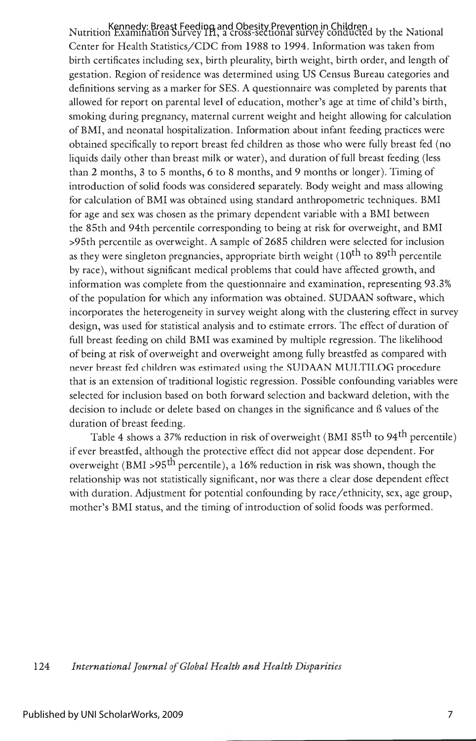Nutrition Examination Survey III, a cross-sectional survey conducted by the National Kennedy: Breast Feeding and Obesity Prevention in Children Center for Health Statistics/CDC from 1988 to 1994. Information was taken from birth certificates including sex, birth pleurality, birth weight, birth order, and length of gestation. Region of residence was determined using US Census Bureau categories and definitions serving as a marker for SES. A questionnaire was completed by parents that allowed for report on parental level of education, mother's age at time of child's birth, smoking during pregnancy, maternal current weight and height allowing for calculation of BMI, and neonatal hospitalization. Information about infant feeding practices were obtained specifically to report breast fed children as those who were fully breast fed (no liquids daily other than breast milk or water), and duration of full breast feeding (less than 2 months, 3 to 5 months, 6 to 8 months, and 9 months or longer). Timing of introduction of solid foods was considered separately. Body weight and mass allowing for calculation of BMI was obtained using standard anthropometric techniques. BMI for age and sex was chosen as the primary dependent variable with a BMI between the 85th and 94th percentile corresponding to being at risk for overweight, and BMI >95th percentile as overweight. A sample of 2685 children were selected for inclusion as they were singleton pregnancies, appropriate birth weight (10<sup>th</sup> to 89<sup>th</sup> percentile by race), without significant medical problems that could have affected growth, and information was complete from the questionnaire and examination, representing 93 .3% of the population for which any information was obtained. SUDAAN software, which incorporates the heterogeneity in survey weight along with the clustering effect in survey design, was used for statistical analysis and to estimate errors. The effect of duration of full breast feeding on child BMI was examined by multiple regression. The likelihood of being at risk of overweight and overweight among fully breastfed as compared with never breast fed children was estimated using the SUDAAN MULTILOG procedure that is an extension of traditional logistic regression. Possible confounding variables were selected for inclusion based on both forward selection and backward deletion, with the decision to include or delete based on changes in the significance and *6* values of the duration of breast feeding.

Table 4 shows a 37% reduction in risk of overweight (BMI 85<sup>th</sup> to 94<sup>th</sup> percentile) if ever breastfed, although the protective effect did not appear dose dependent. For overweight (BMI >95<sup>th</sup> percentile), a 16% reduction in risk was shown, though the relationship was not statistically significant, nor was there a clear dose dependent effect with duration. Adjustment for potential confounding by race/ethnicity, sex, age group, mother's BMI status, and the timing of introduction of solid foods was performed.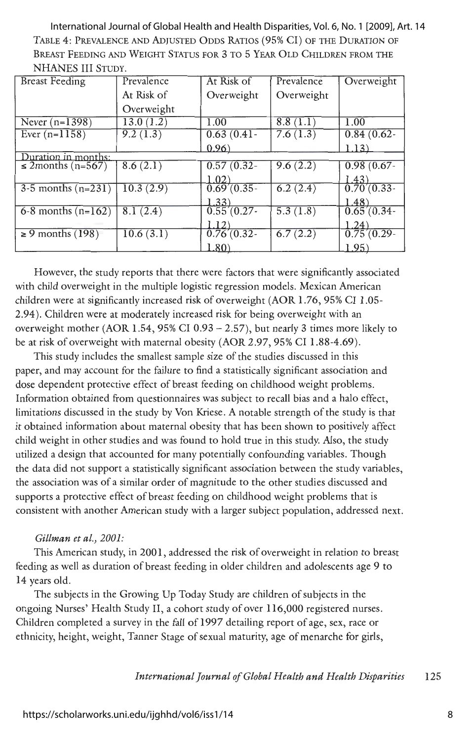TABLE 4: PREVALENCE AND ADJUSTED ODDS RATIOS (95% Cl) OF THE DURATION OF BREAST FEEDING AND WEIGHT STATUS FOR 3 TO 5 YEAR OLD CHILDREN FROM THE **NHANES** III STUDY. International Journal of Global Health and Health Disparities, Vol. 6, No. 1 [2009], Art. 14

| <b>Breast Feeding</b>  | Prevalence              | At Risk of    | Prevalence | Overweight     |
|------------------------|-------------------------|---------------|------------|----------------|
|                        | At Risk of              | Overweight    | Overweight |                |
|                        | Overweight              |               |            |                |
| Never $(n=1398)$       | 13.0(1.2)               | 1.00          | 8.8(1.1)   | 1.00           |
| Ever $(n=1158)$        | 9.2(1.3)                | $0.63(0.41 -$ | 7.6(1.3)   | $0.84(0.62 -$  |
|                        |                         | 0.96)         |            | 1.13)          |
| Duration in months:    |                         |               |            |                |
| $\leq$ 2months (n=567) | 8.6(2.1)                | 0.57(0.32)    | 9.6(2.2)   | $0.98(0.67 -$  |
|                        |                         | 1.02)         |            | 1.43)          |
| $3-5$ months (n=231)   | $\overline{10.3}$ (2.9) | $0.69(0.35 -$ | 6.2(2.4)   | $0.70(0.33 -$  |
|                        |                         | 1.33)         |            | 1.48)          |
| 6-8 months $(n=162)$   | 8.1(2.4)                | $0.55(0.27 -$ | 5.3(1.8)   | $0.65'(0.34-$  |
|                        |                         | .12)          |            | 1.24)          |
| $\geq 9$ months (198)  | $\overline{10.6}$ (3.1) | $0.76(0.32 -$ | 6.7(2.2)   | $0.75(0.29 -$  |
|                        |                         | 1.80)         |            | $1.95^{\circ}$ |

However, the study reports that there were factors that were significantly associated with child overweight in the multiple logistic regression models. Mexican American children were at significantly increased risk of overweight (AOR 1.76, 95% CI 1.05- 2.94). Children were at moderately increased risk for being overweight with an overweight mother (AOR  $1.54$ , 95% CI 0.93 – 2.57), but nearly 3 times more likely to be at risk of overweight with maternal obesity (AOR 2.97, 95% CI 1.88-4.69).

This study includes the smallest sample size of the studies discussed in this paper, and may account for the failure to find a statistically significant association and dose dependent protective effect of breast feeding on childhood weight problems. Information obtained from questionnaires was subject to recall bias and a halo effect, limitations discussed in the study by Von Kriese . A notable strength of the study is that it obtained information about maternal obesity that has been shown to positively affect child weight in other studies and was found to hold true in this study. Also, the study utilized a design that accounted for many potentially confounding variables. Though the data did not support a statistically significant association between the study variables, the association was of a similar order of magnitude to the other studies discussed and supports a protective effect of breast feeding on childhood weight problems that is consistent with another American study with a larger subject population, addressed next.

#### *Gillman et al., 2001:*

This American study, in 2001, addressed the risk of overweight in relation to breast feeding as well as duration of breast feeding in older children and adolescents age 9 to 14 years old.

The subjects in the Growing Up Today Study are children of subjects in the ongoing Nurses' Health Study II, a cohort study of over 116,000 registered nurses. Children completed a survey in the fall of 1997 detailing report of age, sex, race or ethnicity, height, weight, Tanner Stage of sexual maturity, age of menarche for girls,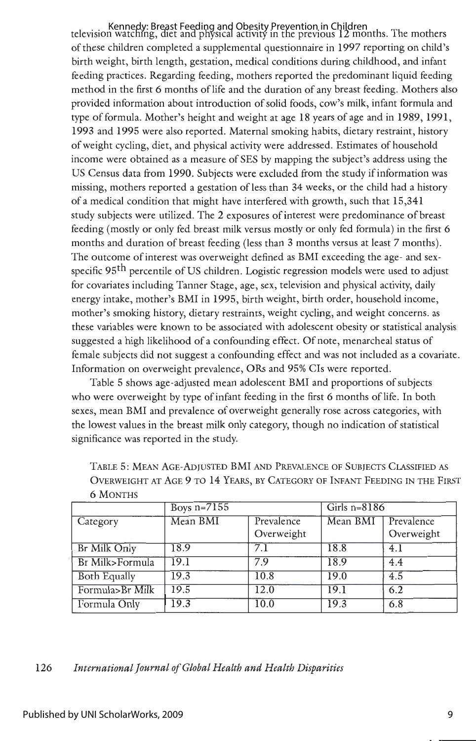television watching, diet and physical activity in the previous 12 months. The mothers Kennedy: Breast Feeding and Obesity Prevention in Children of these children completed a supplemental questionnaire in 1997 reporting on child's birth weight, birth length, gestation, medical conditions during childhood, and infant feeding practices. Regarding feeding, mothers reported the predominant liquid feeding method in the first 6 months oflife and the duration of any breast feeding. Mothers also provided information about introduction of solid foods, cow's milk, infant formula and type of formula. Mother's height and weight at age 18 years of age and in 1989, 1991, 1993 and 1995 were also reported. Maternal smoking habits, dietary restraint, history of weight cycling, diet, and physical activity were addressed. Estimates of household income were obtained as a measure of SES by mapping the subject's address using the US Census data from 1990. Subjects were excluded from the study if information was missing, mothers reported a gestation of less than 34 weeks, or the child had a history of a medical condition that might have interfered with growth, such that 15,341 study subjects were utilized. The 2 exposures of interest were predominance of breast feeding (mostly or only fed breast milk versus mostly or only fed formula) in the first 6 months and duration of breast feeding (less than 3 months versus at least 7 months). The outcome of interest was overweight defined as BMI exceeding the age- and sexspecific 95<sup>th</sup> percentile of US children. Logistic regression models were used to adjust for covariates including Tanner Stage, age, sex, television and physical activity, daily energy intake, mother's BMI in 1995, birth weight, birth order, household income, mother's smoking history, dietary restraints, weight cycling, and weight concerns. as these variables were known to be associated with adolescent obesity or statistical analysis suggested a high likelihood of a confounding effect. Of note, menarcheal status of female subjects did not suggest a confounding effect and was not included as a covariate. Information on overweight prevalence, ORs and 95% Cls were reported.

Table 5 shows age-adjusted mean adolescent BMI and proportions of subjects who were overweight by type of infant feeding in the first 6 months of life. In both sexes, mean BMI and prevalence of overweight generally rose across categories, with the lowest values in the breast milk only category, though no indication of statistical significance was reported in the study.

|                     | Boys $n=7155$     |                          | Girls $n=8186$ |                          |
|---------------------|-------------------|--------------------------|----------------|--------------------------|
| Category            | Mean BMI          | Prevalence<br>Overweight | Mean BMI       | Prevalence<br>Overweight |
| <b>Br</b> Milk Othy | 18.9              | 7.1                      | 18.8           | 4.1                      |
| Bi Milk>Formula     | $\overline{19.1}$ | 79                       | 18.9           | 4.4                      |
| Roth Equally        | 19.3              | 10.8                     | 19.0           | 4.5                      |
| Formula>Br Milk     | 19.5              | 12.0                     | 13.1           | 6.2                      |
| Formula Only        | 19.3              | 10.0                     | 19.3           | 6.8                      |

TABLE 5: MEAN AGE-ADJUSTED BMI AND PREVALENCE OF SUBJECTS CLASSIFIED AS OVERWEIGHT AT AGE 9 TO 14 YEARS, BY CATEGORY OF INFANT FEEDING IN THE FIRST 6 MONTHS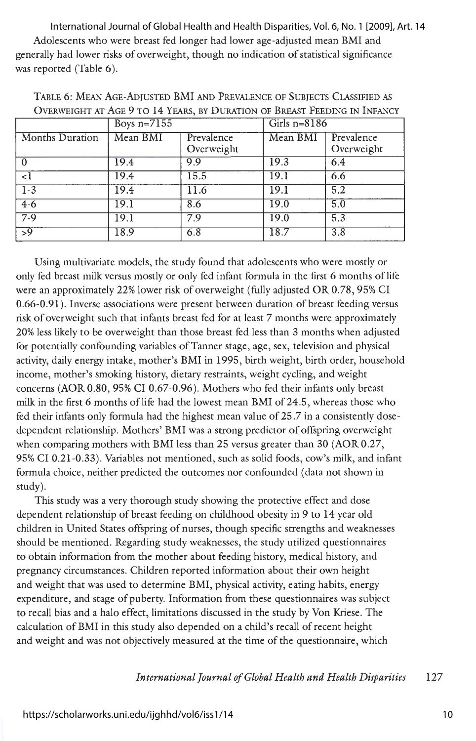Adolescents who were breast fed longer had lower age-adjusted mean BMI and generally had lower risks of overweight, though no indication of statistical significance was reported (Table 6). International Journal of Global Health and Health Disparities, Vol. 6, No. 1 [2009], Art. 14

| OVERWEIGHT AT AGE 7 TO IT TEARS, BI DOKATION OF DREAST FEEDING IN INFANCT |               |            |                   |            |
|---------------------------------------------------------------------------|---------------|------------|-------------------|------------|
|                                                                           | Boys $n=7155$ |            | Girls $n=8186$    |            |
| <b>Months Duration</b>                                                    | Mean BMI      | Prevalence | Mean BMI          | Prevalence |
|                                                                           |               | Overweight |                   | Overweight |
| $\Omega$                                                                  | 19.4          | 9.9        | 19.3              | 6.4        |
| <1                                                                        | 19.4          | 15.5       | 19.1              | 6.6        |
| $1 - 3$                                                                   | 19.4          | 11.6       | $\overline{19.1}$ | 5.2        |
| $4-6$                                                                     | 19.1          | 8.6        | 19.0              | 5.0        |
| $7 - 9$                                                                   | 19.1          | 7.9        | 19.0              | 5.3        |
| $\overline{59}$                                                           | 18.9          | 6.8        | 18.7              | 3.8        |

TABLE 6: MEAN AGE-ADJUSTED BMI AND PREVALENCE OF SUBJECTS CLASSIFIED AS OVERWEIGHT AT AGE 9 TO 14 YEARS, BY DURATION OF BREAST FEEDING IN INFANCY

Using multivariate models, the study found that adolescents who were mostly or only fed breast milk versus mostly or only fed infant formula in the first 6 months oflife were an approximately 22% lower risk of overweight (fully adjusted OR 0.78, 95% CI 0.66-0.91). Inverse associations were present between duration of breast feeding versus risk of overweight such that infants breast fed for at least 7 months were approximately 20% less likely to be overweight than those breast fed less than 3 months when adjusted for potentially confounding variables of Tanner stage, age, sex, television and physical activity, daily energy intake, mother's BMI in 1995, birth weight, birth order, household income, mother's smoking history, dietary restraints, weight cycling, and weight concerns (AOR 0.80, 95% CI 0.67-0.96). Mothers who fed their infants only breast milk in the first 6 months of life had the lowest mean BMI of 24.5, whereas those who fed their infants only formula had the highest mean value of 25.7 in a consistently dosedependent relationship. Mothers' BMI was a strong predictor of offspring overweight when comparing mothers with BMI less than 25 versus greater than 30 (AOR 0.27, 95% CI 0.21-0.33). Variables not mentioned, such as solid foods, cow's milk, and infant formula choice, neither predicted the outcomes nor confounded ( data not shown in study).

This study was a very thorough study showing the protective effect and dose dependent relationship of breast feeding on childhood obesity in 9 to 14 year old children in United States offspring of nurses, though specific strengths and weaknesses should be mentioned. Regarding study weaknesses, the study utilized questionnaires to obtain information from the mother about feeding history, medical history, and pregnancy circumstances. Children reported information about their own height and weight that was used to determine BMI, physical activity, eating habits, energy expenditure, and stage of puberty. Information from these questionnaires was subject to recall bias and a halo effect, limitations discussed in the study by Von Kriese. The calculation of BMI in this study also depended on a child's recall of recent height and weight and was not objectively measured at the time of the questionnaire, which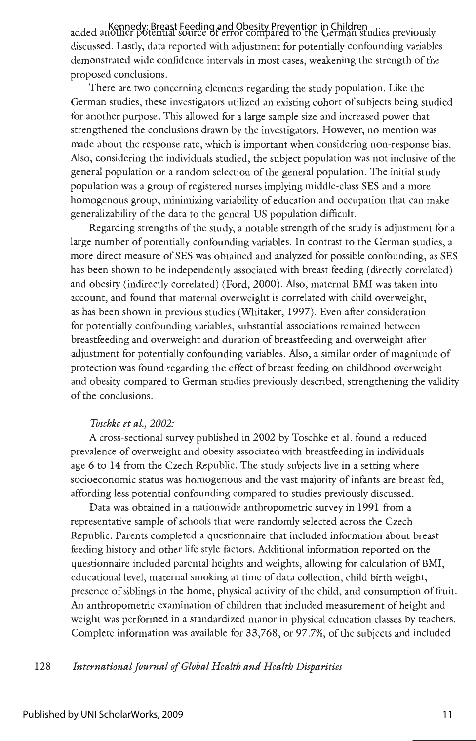added another potential source of error compared to the German studies previously Kennedy: Breast Feeding and Obesity Prevention in Children discussed. Lastly, data reported with adjustment for potentially confounding variables demonstrated wide confidence intervals in most cases, weakening the strength of the proposed conclusions.

There are two concerning elements regarding the study population. Like the German studies, these investigators utilized an existing cohort of subjects being studied for another purpose. This allowed for a large sample size and increased power that strengthened the conclusions drawn by the investigators. However, no mention was made about the response rate, which is important when considering non-response bias. Also, considering the individuals studied, the subject population was not inclusive of the general population or a random selection of the general population. The initial study population was a group of registered nurses implying middle-class SES and a more homogenous group, minimizing variability of education and occupation that can make generalizability of the data to the general US population difficult.

Regarding strengths of the study, a notable strength of the study is adjustment for a large number of potentially confounding variables. In contrast to the German studies, a more direct measure of SES was obtained and analyzed for possible confounding, as SES has been shown to be independently associated with breast feeding ( directly correlated) and obesity (indirectly correlated) (Ford, 2000). Also, maternal BMI was taken into account, and found that maternal overweight is correlated with child overweight, as has been shown in previous studies (Whitaker, 1997). Even after consideration for potentially confounding variables, substantial associations remained between breastfeeding and overweight and duration of breastfeeding and overweight after adjustment for potentially confounding variables. Also, a similar order of magnitude of protection was found regarding the effect of breast feeding on childhood overweight and obesity compared to German studies previously described, strengthening the validity of the conclusions.

#### *Toschke et al., 2002:*

A cross-sectional survey published in 2002 by Toschke et al. found a reduced prevalence of overweight and obesity associated with breastfeeding in individuals age 6 to 14 from the Czech Republic. The study subjects live in a setting where socioeconomic status was homogenous and the vast majority of infants are breast fed, affording less potential confounding compared to studies previously discussed.

Data was obtained in a nationwide anthropometric survey in 1991 from a representative sample of schools that were randomly selected across the Czech Republic. Parents completed a questionnaire that included information about breast feeding history and other life style factors. Additional information reported on the questionnaire included parental heights and weights, allowing for calculation of BMI, educational level, maternal smoking at time of data collection, child birth weight, presence of siblings in the home, physical activity of the child, and consumption of fruit. An anthropometric examination of children that included measurement of height and weight was performed in a standardized manor in physical education classes by teachers. Complete information was available for 33,768, or 97.7%, of the subjects and included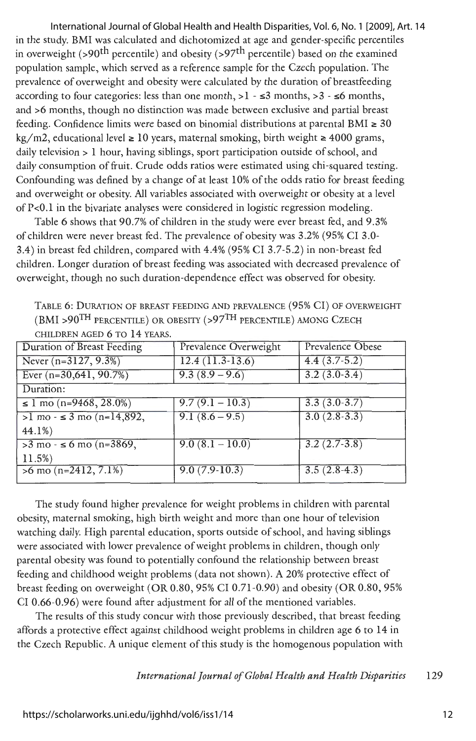in the study. BMI was calculated and dichotomized at age and gender-specific percentiles in overweight (>90<sup>th</sup> percentile) and obesity (>97<sup>th</sup> percentile) based on the examined population sample, which served as a reference sample for the Czech population. The prevalence of overweight and obesity were calculated by the duration of breastfeeding according to four categories: less than one month,  $>l - 3$  months,  $>l - 3$  months, and >6 months, though no distinction was made between exclusive and partial breast feeding. Confidence limits were based on binomial distributions at parental  $BMI \geq 30$ kg/m2, educational level  $\geq 10$  years, maternal smoking, birth weight  $\geq 4000$  grams, daily television > 1 hour, having siblings, sport participation outside of school, and daily consumption of fruit. Crude odds ratios were estimated using chi-squared testing. Confounding was defined by a change of at least 10% of the odds ratio for breast feeding and overweight or obesity. All variables associated with overweight or obesity at a level of P<0.l in the bivariate analyses were considered in logistic regression modeling. International Journal of Global Health and Health Disparities, Vol. 6, No. 1 [2009], Art. 14

Table 6 shows that 90.7% of children in the study were ever breast fed, and 9 .3% of children were never breast fed. The prevalence of obesity was 3.2% (95% CI 3.0- 3.4) in breast fed children, compared with 4.4% (95% CI 3.7-5.2) in non-breast fed children. Longer duration of breast feeding was associated with decreased prevalence of overweight, though no such duration-dependence effect was observed for obesity.

TABLE 6: DURATION OF BREAST FEEDING AND PREVALENCE (95% CI) OF OVERWEIGHT (BMJ >90TH PERCENTILE) OR OBESITY (>97TH PERCENTILE) AMONG CZECH CHILDREN AGED 6 TO 14 YEARS.

| Duration of Breast Feeding           | Prevalence Overweight | Prevalence Obese |
|--------------------------------------|-----------------------|------------------|
| Never $(n=3127, 9.3\%)$              | $12.4(11.3-13.6)$     | $4.4(3.7-5.2)$   |
| Ever $(n=30,641, 90.7%)$             | $9.3(8.9-9.6)$        | $3.2(3.0-3.4)$   |
| Duration:                            |                       |                  |
| $\leq$ 1 mo (n=9468, 28.0%)          | $9.7(9.1 - 10.3)$     | $3.3(3.0-3.7)$   |
| $>1$ mo $ \leq$ 3 mo (n=14,892,      | $9.1(8.6-9.5)$        | $3.0(2.8-3.3)$   |
| 44.1%)                               |                       |                  |
| $>3$ mo $\cdot$ $\leq$ 6 mo (n=3869, | $9.0(8.1-10.0)$       | $3.2(2.7-3.8)$   |
| $11.5\%)$                            |                       |                  |
| $>6$ mo (n=2412, 7.1%)               | $9.0(7.9-10.3)$       | $3.5(2.8-4.3)$   |
|                                      |                       |                  |

The study found higher prevalence for weight problems in children with parental obesity, maternal smoking, high birth weight and more than one hour of television watching daily. High parental education, sports outside of school, and having siblings were associated with lower prevalence of weight problems in children, though only parental obesity was found to potentially confound the relationship between breast feeding and childhood weight problems ( data not shown). A 20% protective effect of breast feeding on overweight (OR 0.80, 95% CI 0.71-0.90) and obesity (OR 0.80, 95% CI 0.66-0.96) were found after adjustment for all of the mentioned variables.

The results of this study concur with those previously described, that breast feeding affords a protective effect against childhood weight problems in children age 6 to 14 in the Czech Republic. A unique element of this study is the homogenous population with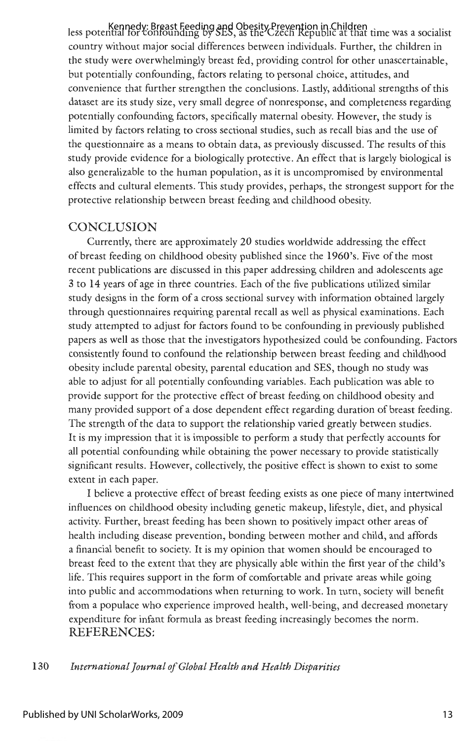less potential for confounding by SES, as the Czech Republic at that time was a socialist Kennedy: Breast Feeding and Obesity Prevention in Children country without major social differences between individuals. Further, the children in the study were overwhelmingly breast fed, providing control for other unascertainable, but potentially confounding, factors relating to personal choice, attitudes, and convenience that further strengthen the conclusions. Lastly, additional strengths of this dataset are its study size, very small degree of nonresponse, and completeness regarding potentially confounding factors, specifically maternal obesity. However, the study is limited by factors relating to cross sectional studies, such as recall bias and the use of the questionnaire as a means to obtain data, as previously discussed. The results of this study provide evidence for a biologically protective. An effect that is largely biological is also generalizable to the human population, as it is uncompromised by environmental effects and cultural elements. This study provides, perhaps, the strongest support for the protective relationship between breast feeding and childhood obesity.

## CONCLUSION

Currently, there are approximately 20 studies worldwide addressing the effect of breast feeding on childhood obesity published since the 1960's. Five of the most recent publications are discussed in this paper addressing children and adolescents age 3 to 14 years of age in three countries. Each of the five publications utilized similar study designs in the form of a cross sectional survey with information obtained largely through questionnaires requiring parental recall as well as physical examinations. Each study attempted to adjust for factors found to be confounding in previously published papers as well as those that the investigators hypothesized could be confounding. Factors consistently found to confound the relationship between breast feeding and childhood obesity include parental obesity, parental education and SES, though no study was able to adjust for all potentially confounding variables. Each publication was able to provide support for the protective effect of breast feeding on childhood obesity and many provided support of a dose dependent effect regarding duration of breast feeding. The strength of the data to support the relationship varied greatly between studies. It is my impression that it is impossible to perform a study that perfectly accounts for all potential confounding while obtaining the power necessary to provide statistically significant results. However, collectively, the positive effect is shown to exist to some extent in each paper.

I believe a protective effect of breast feeding exists as one piece of many intertwined influences on childhood obesity including genetic makeup, lifestyle, diet, and physical activity. Further, breast feeding has been shown to positively impact other areas of health including disease prevention, bonding between mother and child, and affords a financial benefit to society. It is my opinion that women should be encouraged to breast feed to the extent that they are physically able within the first year of the child's life. This requires support in the form of comfortable and private areas while going into public and accommodations when returning to work. In turn, society will benefit from a populace who experience improved health, well-being, and decreased monetary expenditure for infant formula as breast feeding increasingly becomes the norm. REFERENCES: